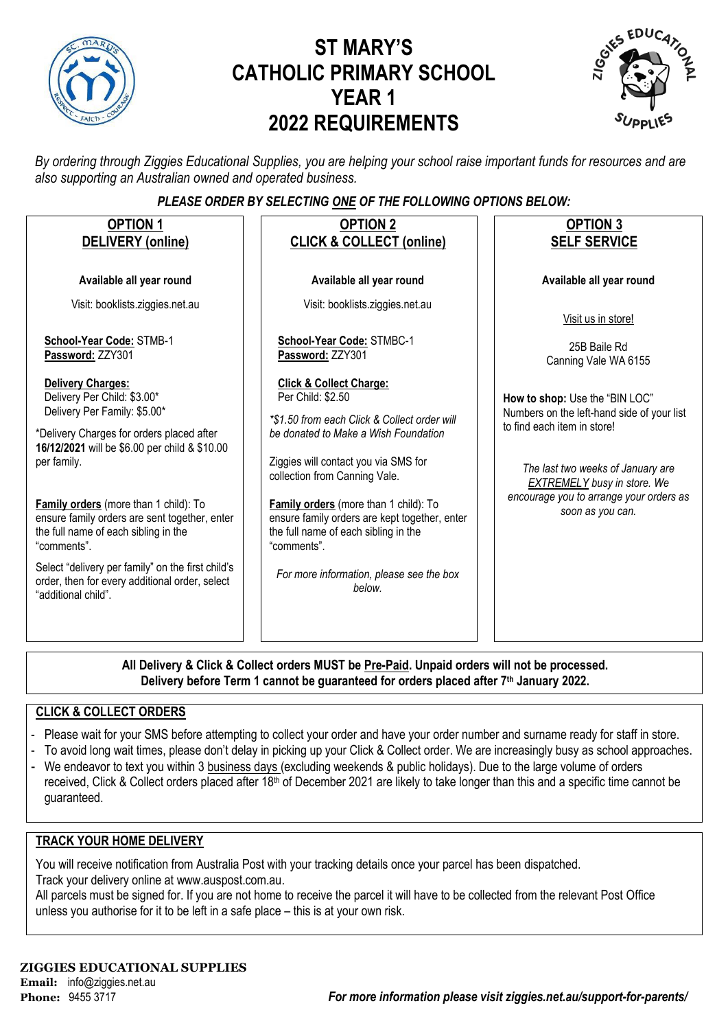

# **ST MARY'S CATHOLIC PRIMARY SCHOOL YEAR 1 2022 REQUIREMENTS**



*By ordering through Ziggies Educational Supplies, you are helping your school raise important funds for resources and are also supporting an Australian owned and operated business.*

### *PLEASE ORDER BY SELECTING ONE OF THE FOLLOWING OPTIONS BELOW:*

| <b>OPTION 1</b><br>DELIVERY (online)                                                                                                                                                                                                                                                                                                                                                                                                                                                | <b>OPTION 2</b><br><b>CLICK &amp; COLLECT (online)</b>                                                                                                                                                                                                                                                                                                                                                                          | <b>OPTION 3</b><br><b>SELF SERVICE</b>                                                                                                                                                                                                                |  |  |  |  |  |  |  |
|-------------------------------------------------------------------------------------------------------------------------------------------------------------------------------------------------------------------------------------------------------------------------------------------------------------------------------------------------------------------------------------------------------------------------------------------------------------------------------------|---------------------------------------------------------------------------------------------------------------------------------------------------------------------------------------------------------------------------------------------------------------------------------------------------------------------------------------------------------------------------------------------------------------------------------|-------------------------------------------------------------------------------------------------------------------------------------------------------------------------------------------------------------------------------------------------------|--|--|--|--|--|--|--|
| Available all year round                                                                                                                                                                                                                                                                                                                                                                                                                                                            | Available all year round                                                                                                                                                                                                                                                                                                                                                                                                        | Available all year round                                                                                                                                                                                                                              |  |  |  |  |  |  |  |
| Visit: booklists.ziggies.net.au                                                                                                                                                                                                                                                                                                                                                                                                                                                     | Visit: booklists.ziggies.net.au                                                                                                                                                                                                                                                                                                                                                                                                 | Visit us in store!                                                                                                                                                                                                                                    |  |  |  |  |  |  |  |
| School-Year Code: STMB-1<br>Password: ZZY301                                                                                                                                                                                                                                                                                                                                                                                                                                        | School-Year Code: STMBC-1<br>Password: ZZY301                                                                                                                                                                                                                                                                                                                                                                                   | 25B Baile Rd<br>Canning Vale WA 6155                                                                                                                                                                                                                  |  |  |  |  |  |  |  |
| <b>Delivery Charges:</b><br>Delivery Per Child: \$3.00*<br>Delivery Per Family: \$5.00*<br>*Delivery Charges for orders placed after<br>16/12/2021 will be \$6.00 per child & \$10.00<br>per family.<br>Family orders (more than 1 child): To<br>ensure family orders are sent together, enter<br>the full name of each sibling in the<br>"comments".<br>Select "delivery per family" on the first child's<br>order, then for every additional order, select<br>"additional child". | <b>Click &amp; Collect Charge:</b><br>Per Child: \$2.50<br>*\$1.50 from each Click & Collect order will<br>be donated to Make a Wish Foundation<br>Ziggies will contact you via SMS for<br>collection from Canning Vale.<br>Family orders (more than 1 child): To<br>ensure family orders are kept together, enter<br>the full name of each sibling in the<br>"comments".<br>For more information, please see the box<br>below. | How to shop: Use the "BIN LOC"<br>Numbers on the left-hand side of your list<br>to find each item in store!<br>The last two weeks of January are<br><b>EXTREMELY</b> busy in store. We<br>encourage you to arrange your orders as<br>soon as you can. |  |  |  |  |  |  |  |
| All Delivers 0. Oliel, 0. Cellent andere MUCT he Dre Deid. Hungid andere will not be non-                                                                                                                                                                                                                                                                                                                                                                                           |                                                                                                                                                                                                                                                                                                                                                                                                                                 |                                                                                                                                                                                                                                                       |  |  |  |  |  |  |  |

**All Delivery & Click & Collect orders MUST be Pre-Paid. Unpaid orders will not be processed. Delivery before Term 1 cannot be guaranteed for orders placed after 7th January 2022.**

### **CLICK & COLLECT ORDERS**

- Please wait for your SMS before attempting to collect your order and have your order number and surname ready for staff in store.
- To avoid long wait times, please don't delay in picking up your Click & Collect order. We are increasingly busy as school approaches.
- We endeavor to text you within 3 business days (excluding weekends & public holidays). Due to the large volume of orders received, Click & Collect orders placed after 18<sup>th</sup> of December 2021 are likely to take longer than this and a specific time cannot be guaranteed.

### **TRACK YOUR HOME DELIVERY**

You will receive notification from Australia Post with your tracking details once your parcel has been dispatched. Track your delivery online a[t www.auspost.com.au.](http://www.auspost.com.au/)

All parcels must be signed for. If you are not home to receive the parcel it will have to be collected from the relevant Post Office unless you authorise for it to be left in a safe place – this is at your own risk.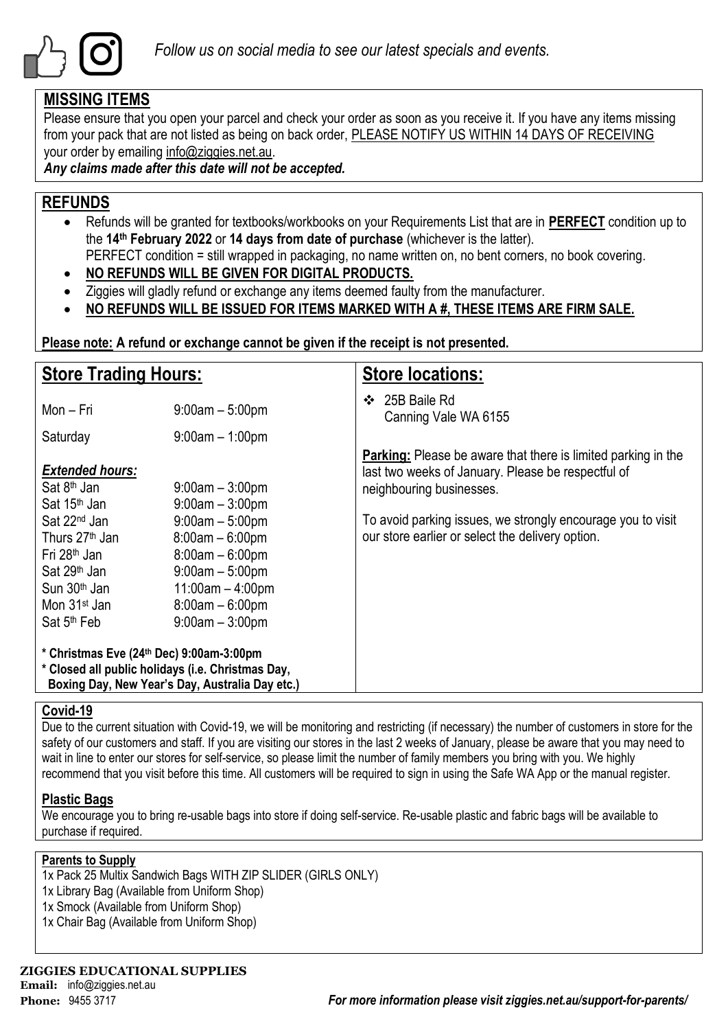

### **MISSING ITEMS**

Please ensure that you open your parcel and check your order as soon as you receive it. If you have any items missing from your pack that are not listed as being on back order, PLEASE NOTIFY US WITHIN 14 DAYS OF RECEIVING your order by emailing info@ziggies.net.au.

*Any claims made after this date will not be accepted.*

### **REFUNDS**

- Refunds will be granted for textbooks/workbooks on your Requirements List that are in **PERFECT** condition up to the **14th February 2022** or **14 days from date of purchase** (whichever is the latter). PERFECT condition = still wrapped in packaging, no name written on, no bent corners, no book covering.
- **NO REFUNDS WILL BE GIVEN FOR DIGITAL PRODUCTS.**
- Ziggies will gladly refund or exchange any items deemed faulty from the manufacturer.
- **NO REFUNDS WILL BE ISSUED FOR ITEMS MARKED WITH A #, THESE ITEMS ARE FIRM SALE.**

**Please note: A refund or exchange cannot be given if the receipt is not presented.**

| <b>Store Trading Hours:</b>                                                                                                                                                                       |                                                                                                                                                  | <b>Store locations:</b>                                                                                                                                |  |  |  |  |
|---------------------------------------------------------------------------------------------------------------------------------------------------------------------------------------------------|--------------------------------------------------------------------------------------------------------------------------------------------------|--------------------------------------------------------------------------------------------------------------------------------------------------------|--|--|--|--|
| Mon - Fri                                                                                                                                                                                         | $9:00am - 5:00pm$                                                                                                                                | 25B Baile Rd<br>❖<br>Canning Vale WA 6155                                                                                                              |  |  |  |  |
| Saturday                                                                                                                                                                                          | $9:00am - 1:00pm$                                                                                                                                |                                                                                                                                                        |  |  |  |  |
| <b>Extended hours:</b><br>Sat 8 <sup>th</sup> Jan<br>Sat 15 <sup>th</sup> Jan                                                                                                                     | $9:00$ am $-3:00$ pm<br>$9:00am - 3:00pm$                                                                                                        | <b>Parking:</b> Please be aware that there is limited parking in the<br>last two weeks of January. Please be respectful of<br>neighbouring businesses. |  |  |  |  |
| Sat 22 <sup>nd</sup> Jan<br>Thurs 27 <sup>th</sup> Jan<br>Fri 28 <sup>th</sup> Jan<br>Sat 29 <sup>th</sup> Jan<br>Sun 30 <sup>th</sup> Jan<br>Mon 31 <sup>st</sup> Jan<br>Sat 5 <sup>th</sup> Feb | $9:00am - 5:00pm$<br>$8:00am - 6:00pm$<br>$8:00am - 6:00pm$<br>$9:00am - 5:00pm$<br>$11:00am - 4:00pm$<br>$8:00am - 6:00pm$<br>$9:00am - 3:00pm$ | To avoid parking issues, we strongly encourage you to visit<br>our store earlier or select the delivery option.                                        |  |  |  |  |
| * Christmas Eve (24th Dec) 9:00am-3:00pm<br>* Closed all public holidays (i.e. Christmas Day,<br>Boxing Day, New Year's Day, Australia Day etc.)                                                  |                                                                                                                                                  |                                                                                                                                                        |  |  |  |  |

### **Covid-19**

Due to the current situation with Covid-19, we will be monitoring and restricting (if necessary) the number of customers in store for the safety of our customers and staff. If you are visiting our stores in the last 2 weeks of January, please be aware that you may need to wait in line to enter our stores for self-service, so please limit the number of family members you bring with you. We highly recommend that you visit before this time. All customers will be required to sign in using the Safe WA App or the manual register.

### **Plastic Bags**

We encourage you to bring re-usable bags into store if doing self-service. Re-usable plastic and fabric bags will be available to purchase if required.

### **Parents to Supply**

- 1x Pack 25 Multix Sandwich Bags WITH ZIP SLIDER (GIRLS ONLY)
- 1x Library Bag (Available from Uniform Shop)
- 1x Smock (Available from Uniform Shop)
- 1x Chair Bag (Available from Uniform Shop)